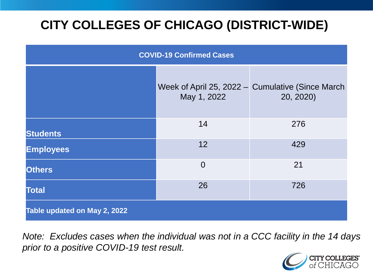# **CITY COLLEGES OF CHICAGO (DISTRICT-WIDE)**

| <b>COVID-19 Confirmed Cases</b> |                |                                                               |
|---------------------------------|----------------|---------------------------------------------------------------|
|                                 | May 1, 2022    | Week of April 25, 2022 – Cumulative (Since March<br>20, 2020) |
| <b>Students</b>                 | 14             | 276                                                           |
| <b>Employees</b>                | 12             | 429                                                           |
| <b>Others</b>                   | $\overline{0}$ | 21                                                            |
| <b>Total</b>                    | 26             | 726                                                           |
| Table updated on May 2, 2022    |                |                                                               |

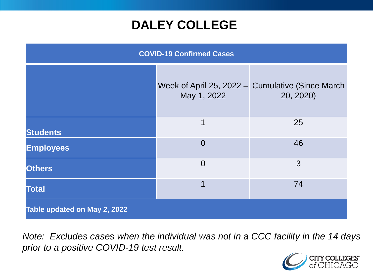### **DALEY COLLEGE**

| <b>COVID-19 Confirmed Cases</b> |                |                                                               |
|---------------------------------|----------------|---------------------------------------------------------------|
|                                 | May 1, 2022    | Week of April 25, 2022 - Cumulative (Since March<br>20, 2020) |
| <b>Students</b>                 | 1              | 25                                                            |
| <b>Employees</b>                | $\Omega$       | 46                                                            |
| <b>Others</b>                   | $\overline{0}$ | 3                                                             |
| <b>Total</b>                    | 1              | 74                                                            |
| Table updated on May 2, 2022    |                |                                                               |

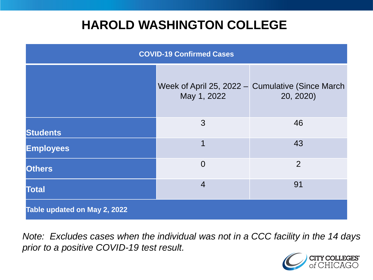### **HAROLD WASHINGTON COLLEGE**

| <b>COVID-19 Confirmed Cases</b> |                |                                                               |
|---------------------------------|----------------|---------------------------------------------------------------|
|                                 | May 1, 2022    | Week of April 25, 2022 - Cumulative (Since March<br>20, 2020) |
| <b>Students</b>                 | 3              | 46                                                            |
| <b>Employees</b>                | 1              | 43                                                            |
| <b>Others</b>                   | $\overline{0}$ | 2                                                             |
| <b>Total</b>                    | $\overline{4}$ | 91                                                            |
| Table updated on May 2, 2022    |                |                                                               |

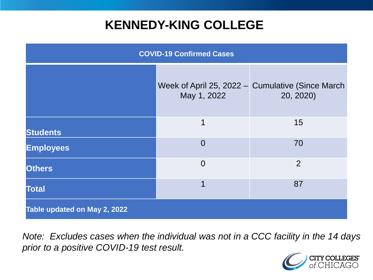### **KENNEDY-KING COLLEGE**

| <b>COVID-19 Confirmed Cases</b> |                |                                                               |
|---------------------------------|----------------|---------------------------------------------------------------|
|                                 | May 1, 2022    | Week of April 25, 2022 – Cumulative (Since March<br>20, 2020) |
| <b>Students</b>                 | 1              | 15                                                            |
| <b>Employees</b>                | $\overline{0}$ | 70                                                            |
| <b>Others</b>                   | $\overline{0}$ | $\overline{2}$                                                |
| <b>Total</b>                    | 1              | 87                                                            |
| Table updated on May 2, 2022    |                |                                                               |

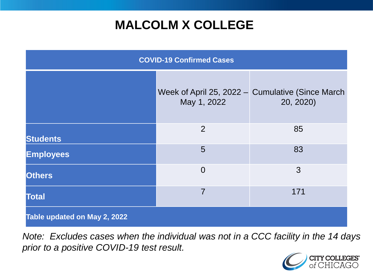### **MALCOLM X COLLEGE**

| <b>COVID-19 Confirmed Cases</b> |                |                                                                |
|---------------------------------|----------------|----------------------------------------------------------------|
|                                 | May 1, 2022    | Week of April 25, 2022 - Cumulative (Since March)<br>20, 2020) |
| <b>Students</b>                 | 2              | 85                                                             |
| <b>Employees</b>                | 5              | 83                                                             |
| <b>Others</b>                   | $\overline{0}$ | 3                                                              |
| <b>Total</b>                    | $\overline{7}$ | 171                                                            |
| Table updated on May 2, 2022    |                |                                                                |

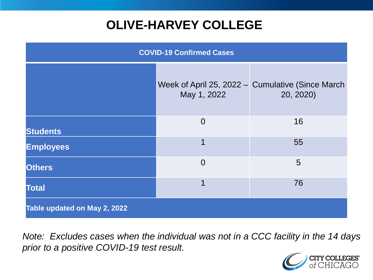# **OLIVE-HARVEY COLLEGE**

| <b>COVID-19 Confirmed Cases</b> |                |                                                               |
|---------------------------------|----------------|---------------------------------------------------------------|
|                                 | May 1, 2022    | Week of April 25, 2022 - Cumulative (Since March<br>20, 2020) |
| <b>Students</b>                 | $\overline{0}$ | 16                                                            |
| <b>Employees</b>                | 1              | 55                                                            |
| <b>Others</b>                   | $\overline{0}$ | 5                                                             |
| <b>Total</b>                    | 1              | 76                                                            |
| Table updated on May 2, 2022    |                |                                                               |

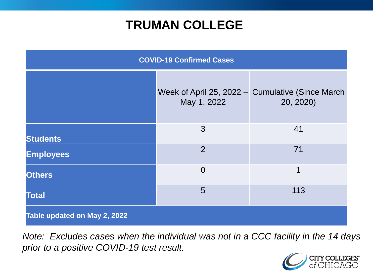### **TRUMAN COLLEGE**

| <b>COVID-19 Confirmed Cases</b> |                |                                                               |
|---------------------------------|----------------|---------------------------------------------------------------|
|                                 | May 1, 2022    | Week of April 25, 2022 - Cumulative (Since March<br>20, 2020) |
| <b>Students</b>                 | 3              | 41                                                            |
| <b>Employees</b>                | $\overline{2}$ | 71                                                            |
| <b>Others</b>                   | $\overline{0}$ | 1                                                             |
| <b>Total</b>                    | 5              | 113                                                           |
| Table updated on May 2, 2022    |                |                                                               |

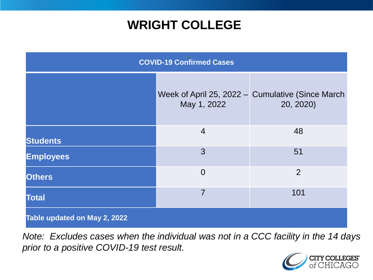### **WRIGHT COLLEGE**

| <b>COVID-19 Confirmed Cases</b> |                |                                                               |
|---------------------------------|----------------|---------------------------------------------------------------|
|                                 | May 1, 2022    | Week of April 25, 2022 - Cumulative (Since March<br>20, 2020) |
| <b>Students</b>                 | $\overline{4}$ | 48                                                            |
| <b>Employees</b>                | 3              | 51                                                            |
| <b>Others</b>                   | $\overline{0}$ | $\overline{2}$                                                |
| <b>Total</b>                    | 7              | 101                                                           |
| Table updated on May 2, 2022    |                |                                                               |

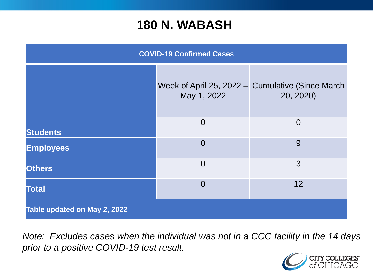#### **180 N. WABASH**

| <b>COVID-19 Confirmed Cases</b> |                |                                                               |
|---------------------------------|----------------|---------------------------------------------------------------|
|                                 | May 1, 2022    | Week of April 25, 2022 - Cumulative (Since March<br>20, 2020) |
| <b>Students</b>                 | $\overline{0}$ | $\overline{0}$                                                |
| <b>Employees</b>                | $\Omega$       | 9                                                             |
| <b>Others</b>                   | $\overline{0}$ | 3                                                             |
| <b>Total</b>                    | $\overline{0}$ | 12                                                            |
| Table updated on May 2, 2022    |                |                                                               |